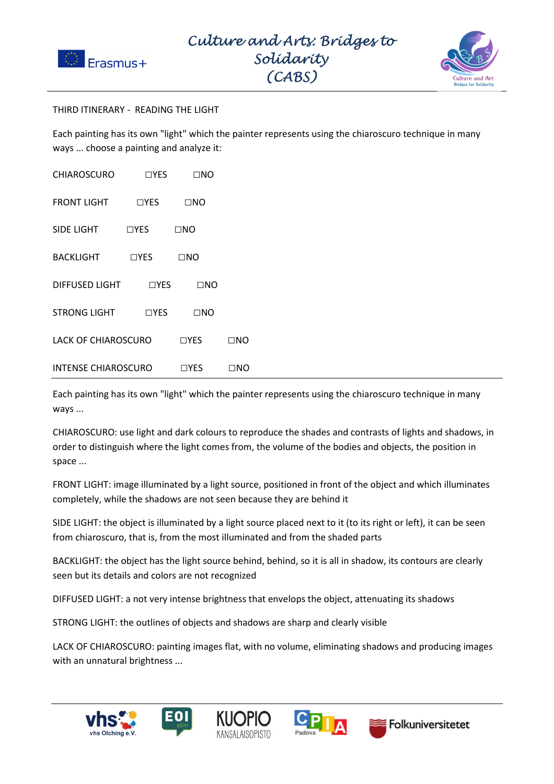



## THIRD ITINERARY - READING THE LIGHT

Each painting has its own "light" which the painter represents using the chiaroscuro technique in many ways ... choose a painting and analyze it:

| <b>CHIAROSCURO</b>         | $\sqcap$ yes | $\Box$ No    |           |
|----------------------------|--------------|--------------|-----------|
| <b>FRONT LIGHT</b>         | $\Box$ YES   | $\square$ NO |           |
| SIDE LIGHT                 | $\Box$ YES   | $\square$ NO |           |
| <b>BACKLIGHT</b>           | $\Box$ YES   | $\square$ NO |           |
| DIFFUSED LIGHT             | $\Box$ YES   | $\square$ NO |           |
| <b>STRONG LIGHT</b>        | $\Box$ YES   | $\square$ NO |           |
| <b>LACK OF CHIAROSCURO</b> |              | $\Box$ YES   | $\Box$ No |
| <b>INTENSE CHIAROSCURO</b> |              | $\Box$ YES   | ⊡NO       |

Each painting has its own "light" which the painter represents using the chiaroscuro technique in many ways ...

CHIAROSCURO: use light and dark colours to reproduce the shades and contrasts of lights and shadows, in order to distinguish where the light comes from, the volume of the bodies and objects, the position in space ...

FRONT LIGHT: image illuminated by a light source, positioned in front of the object and which illuminates completely, while the shadows are not seen because they are behind it

SIDE LIGHT: the object is illuminated by a light source placed next to it (to its right or left), it can be seen from chiaroscuro, that is, from the most illuminated and from the shaded parts

BACKLIGHT: the object has the light source behind, behind, so it is all in shadow, its contours are clearly seen but its details and colors are not recognized

DIFFUSED LIGHT: a not very intense brightness that envelops the object, attenuating its shadows

STRONG LIGHT: the outlines of objects and shadows are sharp and clearly visible

LACK OF CHIAROSCURO: painting images flat, with no volume, eliminating shadows and producing images with an unnatural brightness ...